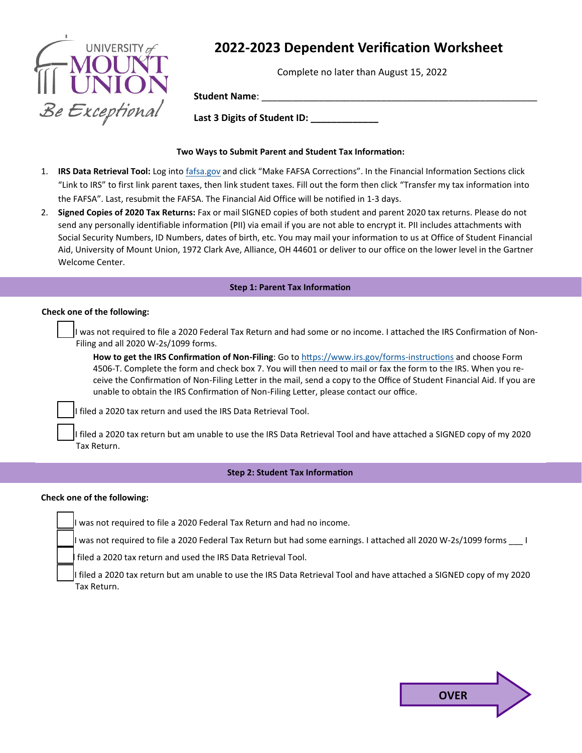

# **2022-2023 Dependent Verification Worksheet**

Complete no later than August 15, 2022

**Student Name**: \_\_\_\_\_\_\_\_\_\_\_\_\_\_\_\_\_\_\_\_\_\_\_\_\_\_\_\_\_\_\_\_\_\_\_\_\_\_\_\_\_\_\_\_\_\_\_\_\_\_\_\_\_

Last 3 Digits of Student ID:

# **Two Ways to Submit Parent and Student Tax Information:**

- 1. **IRS Data Retrieval Tool:** Log into [fafsa.gov](https://studentaid.ed.gov/sa/fafsa) and click "Make FAFSA Corrections". In the Financial Information Sections click "Link to IRS" to first link parent taxes, then link student taxes. Fill out the form then click "Transfer my tax information into the FAFSA". Last, resubmit the FAFSA. The Financial Aid Office will be notified in 1-3 days.
- 2. **Signed Copies of 2020 Tax Returns:** Fax or mail SIGNED copies of both student and parent 2020 tax returns. Please do not send any personally identifiable information (PII) via email if you are not able to encrypt it. PII includes attachments with Social Security Numbers, ID Numbers, dates of birth, etc. You may mail your information to us at Office of Student Financial Aid, University of Mount Union, 1972 Clark Ave, Alliance, OH 44601 or deliver to our office on the lower level in the Gartner Welcome Center.

## **Step 1: Parent Tax Information**

## **Check one of the following:**

I was not required to file a 2020 Federal Tax Return and had some or no income. I attached the IRS Confirmation of Non-Filing and all 2020 W-2s/1099 forms.

**How to get the IRS Confirmation of Non-Filing**: Go to [https://www.irs.gov/forms](https://www.irs.gov/forms-instructions)-instructions and choose Form 4506-T. Complete the form and check box 7. You will then need to mail or fax the form to the IRS. When you receive the Confirmation of Non-Filing Letter in the mail, send a copy to the Office of Student Financial Aid. If you are unable to obtain the IRS Confirmation of Non-Filing Letter, please contact our office.

I filed a 2020 tax return and used the IRS Data Retrieval Tool.

I filed a 2020 tax return but am unable to use the IRS Data Retrieval Tool and have attached a SIGNED copy of my 2020 Tax Return.

## **Step 2: Student Tax Information**

## **Check one of the following:**

I was not required to file a 2020 Federal Tax Return and had no income.

I was not required to file a 2020 Federal Tax Return but had some earnings. I attached all 2020 W-2s/1099 forms l

filed a 2020 tax return and used the IRS Data Retrieval Tool.

I filed a 2020 tax return but am unable to use the IRS Data Retrieval Tool and have attached a SIGNED copy of my 2020 Tax Return.